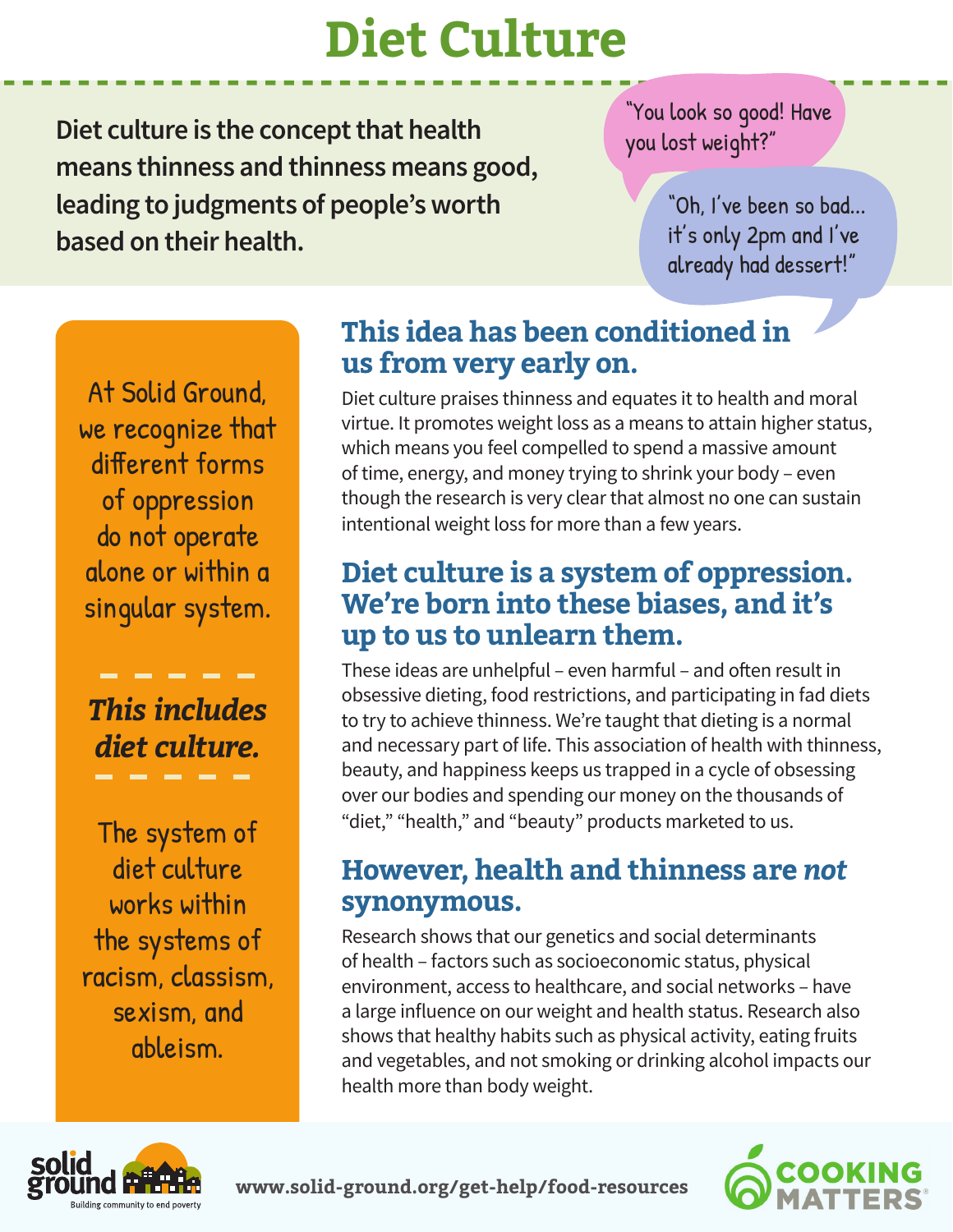# **Diet Culture**

**Diet culture is the concept that health means thinness and thinness means good, leading to judgments of people's worth based on their health.**

"You look so good! Have you lost weight?"

> "Oh, I've been so bad... it's only 2pm and I've already had dessert!"

At Solid Ground, we recognize that different forms of oppression do not operate alone or within a singular system.

*This includes diet culture.*

The system of diet culture works within the systems of racism, classism, sexism, and ableism.

### **This idea has been conditioned in us from very early on.**

Diet culture praises thinness and equates it to health and moral virtue. It promotes weight loss as a means to attain higher status, which means you feel compelled to spend a massive amount of time, energy, and money trying to shrink your body – even though the research is very clear that almost no one can sustain intentional weight loss for more than a few years.

### **Diet culture is a system of oppression. We're born into these biases, and it's up to us to unlearn them.**

These ideas are unhelpful – even harmful – and often result in obsessive dieting, food restrictions, and participating in fad diets to try to achieve thinness. We're taught that dieting is a normal and necessary part of life. This association of health with thinness, beauty, and happiness keeps us trapped in a cycle of obsessing over our bodies and spending our money on the thousands of "diet," "health," and "beauty" products marketed to us.

### **However, health and thinness are** *not*  **synonymous.**

Research shows that our genetics and social determinants of health – factors such as socioeconomic status, physical environment, access to healthcare, and social networks – have a large influence on our weight and health status. Research also shows that healthy habits such as physical activity, eating fruits and vegetables, and not smoking or drinking alcohol impacts our health more than body weight.